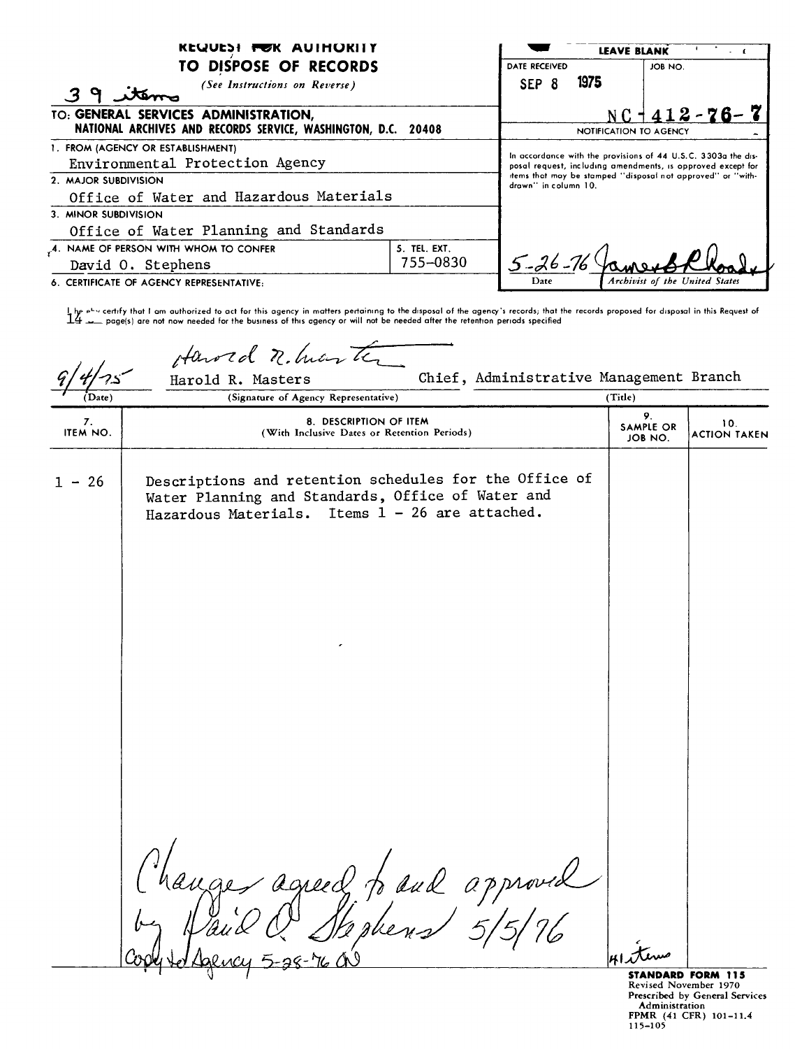| <b>KEQUESI FOR AUIHORITY</b>                                         |              | <b>LEAVE BLANK</b>                                                                                                           |                        |                                |
|----------------------------------------------------------------------|--------------|------------------------------------------------------------------------------------------------------------------------------|------------------------|--------------------------------|
| TO DISPOSE OF RECORDS                                                |              | DATE RECEIVED                                                                                                                |                        | JOB NO.                        |
| (See Instructions on Reverse)                                        |              | SEP 8                                                                                                                        | 1975                   |                                |
| TO: GENERAL SERVICES ADMINISTRATION,                                 |              |                                                                                                                              |                        | $NC + 412 - 76 - 7$            |
| NATIONAL ARCHIVES AND RECORDS SERVICE, WASHINGTON, D.C. 20408        |              |                                                                                                                              | NOTIFICATION TO AGENCY |                                |
| 1. FROM (AGENCY OR ESTABLISHMENT)<br>Environmental Protection Agency |              | In accordance with the provisions of 44 U.S.C. 3303a the dis-<br>posal request, including amendments, is opproved except for |                        |                                |
| 2. MAJOR SUBDIVISION                                                 |              | items that may be stamped "disposal not approved" or "with-<br>drawn" in column 10.                                          |                        |                                |
| Office of Water and Hazardous Materials                              |              |                                                                                                                              |                        |                                |
| 3. MINOR SUBDIVISION                                                 |              |                                                                                                                              |                        |                                |
| Office of Water Planning and Standards                               |              |                                                                                                                              |                        |                                |
| L4. NAME OF PERSON WITH WHOM TO CONFER                               | 5. TEL. EXT. |                                                                                                                              |                        |                                |
| David O. Stephens                                                    | 755-0830     | $5 - 26 - 76$                                                                                                                |                        |                                |
| 6. CERTIFICATE OF AGENCY REPRESENTATIVE:                             |              | Date                                                                                                                         |                        | Archivist of the United States |

ام واسم وحمد و certify that I am authorized to act for this agency in matters pertaining to the disposal of the agency's records; that the records proposed for disposal in this Request of<br>لعد page(s) are not now needed fo

Hawed n. harte Chief, Administrative Management Branch Harold R. Masters  $(Title)$ (Signature of Agency Representative)  $\overline{D}$ ate) 9. 8. DESCRIPTION OF ITEM 7.<br>ITEM NO. 10. SAMPLE OR (With Inclusive Dates or Retention Periods) ACTION TAKEN JOB NO. Descriptions and retention schedules for the Office of  $1 - 26$ Water Planning and Standards, Office of Water and Hazardous Materials. Items  $1 - 26$  are attached. agreed to and approved Fluter

STANDARD FORM 115 Revised November 1970 Prescribed by General Services **Administration**<br>**FPMR** (41 CFR) 101-11.4<br>115-105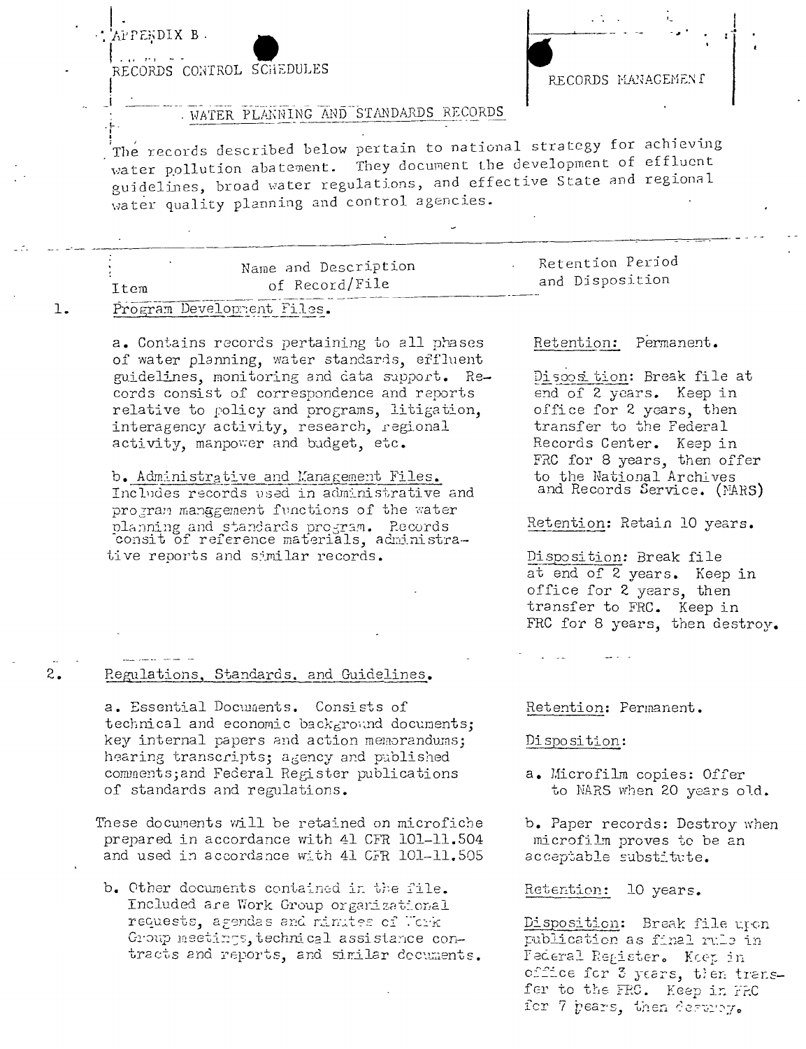APPENDIX B.

**Contract Contract** 

 $2.$ 

RECORDS CONTROL SCHEDULES

#### RECORDS MANAGEMENT

#### . WATER PLANNING AND STANDARDS RECORDS

The records described below pertain to national strategy for achieving water pollution abatement. They document the development of effluent guidelines, broad water regulations, and effective State and regional water quality planning and control agencies.

| Item                     | Name and Description<br>of Record/File | Retention Period<br>and Disposition |
|--------------------------|----------------------------------------|-------------------------------------|
| mar and Montana and True |                                        |                                     |

#### ı. Program Development Files.

a. Contains records pertaining to all phases of water planning, water standards, effluent guidelines, monitoring and data support. Records consist of correspondence and reports relative to policy and programs. litigation. interagency activity, research, regional activity, manpower and budget, etc.

b. Administrative and Management Files. Includes records used in administrative and program management functions of the water planning and standards program. Records<br>consit of reference materials, administrative reports and similar records.

#### Regulations, Standards, and Guidelines.

a. Essential Documents. Consists of technical and economic background documents; key internal papers and action memorandums; hearing transcripts; agency and published comments; and Federal Register publications of standards and regulations.

These documents will be retained on microfiche prepared in accordance with 41 CFR 101-11.504 and used in accordance with 41 CFR 101-11.505

b. Other documents contained in the file. Included are Work Group organizational requests, agendas and rimites of Work Group meetings, technical assistance contracts and reports, and similar decuments. Retention: Permanent.

Disoosition: Break file at end of 2 years. Keep in office for 2 years, then transfer to the Federal Records Center. Keep in FRC for 8 years, then offer to the National Archives and Records Service. (MARS)

Retention: Retain 10 years.

Disposition: Break file at end of 2 years. Keep in office for 2 years, then transfer to FRC. Keep in FRC for 8 years, then destroy.

Retention: Permanent.

#### Disposition:

a. Microfilm copies: Offer to NARS when 20 years old.

b. Paper records: Destroy when microfilm proves to be an acceptable substitute.

Retention: 10 years.

Disposition: Break file upon publication as final rule in Federal Register. Koep in office for 3 years, then transfer to the FRC. Keep in FRC for 7 pears, then desurvy.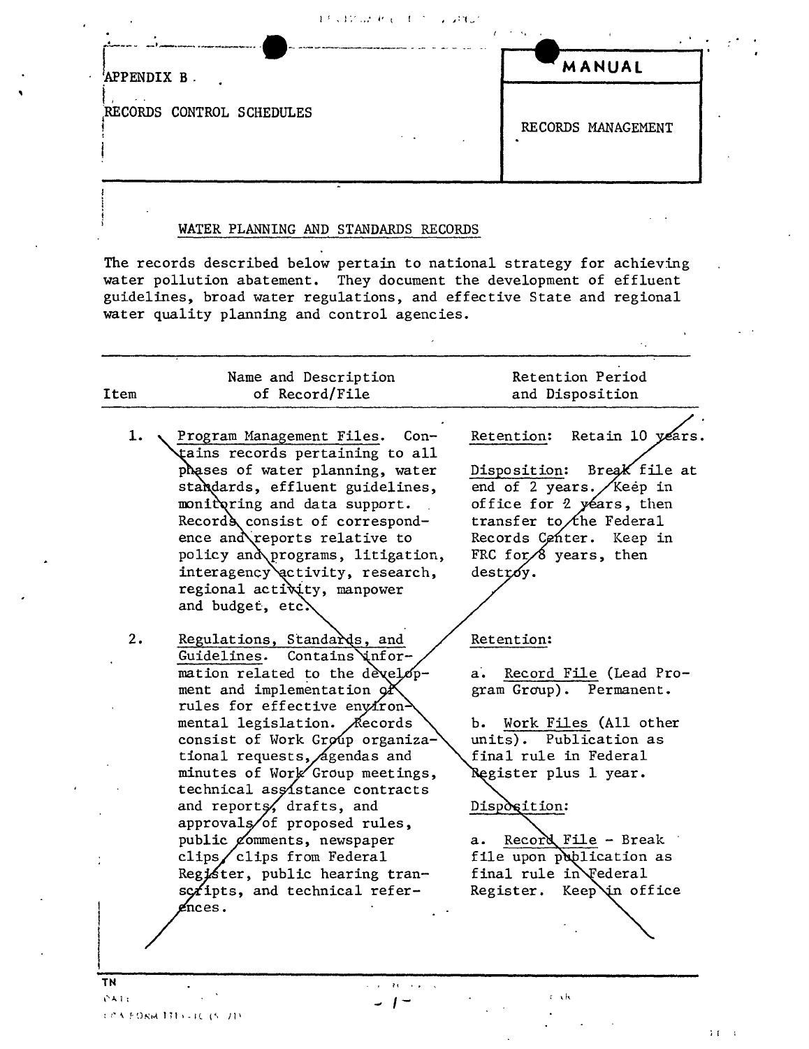13 CDCDA Richard Consultation

|  | <b>APPENDIX B</b> |  |  |
|--|-------------------|--|--|
|  |                   |  |  |

RECORDS CONTROL SCHEDULES

RECORDS MANAGEMENT

 $\mathbf{1}$  <br>  $\mathbf{1}$  .  $\mathbf{1}$ 

MANUAL

### WATER PLANNING AND STANDARDS RECORDS

The records described below pertain to national strategy for achieving water pollution abatement. They document the development of effluent guidelines, broad water regulations, and effective State and regional water quality planning and control agencies.

| Item  | Name and Description<br>of Record/File                            | Retention Period<br>and Disposition |
|-------|-------------------------------------------------------------------|-------------------------------------|
|       |                                                                   |                                     |
| 1.    | Program Management Files. Con-<br>tains records pertaining to all | Retain 10 years.<br>Retention:      |
|       | phases of water planning, water                                   | Break file at<br>Disposition:       |
|       | standards, effluent guidelines,                                   | end of 2 years. /Keep in            |
|       | monitoring and data support.                                      | office for 2 years, then            |
|       | Records consist of correspond-                                    | transfer to the Federal             |
|       | ence and reports relative to                                      | Records Center. Keep in             |
|       | policy and programs, litigation,                                  | FRC for $\frac{3}{8}$ years, then   |
|       | interagency activity, research,                                   | destxoy.                            |
|       | regional activity, manpower                                       |                                     |
|       | and budget, etc.                                                  |                                     |
|       |                                                                   |                                     |
| 2.    | Regulations, Standards, and                                       | Retention:                          |
|       | Guidelines.<br>Contains infor-                                    |                                     |
|       | mation related to the develop-                                    | a. Record File (Lead Pro-           |
|       | ment and implementation $\alpha$<br>rules for effective environ-  | gram Group). Permanent.             |
|       | mental legislation. Aecords                                       | b. Work Files (All other            |
|       | consist of Work Group organiza-                                   | units). Publication as              |
|       | tional requests, <i>Agendas</i> and                               | final rule in Federal               |
|       | minutes of Work Group meetings,                                   | Register plus 1 year.               |
|       | technical assistance contracts                                    |                                     |
|       | and reports, drafts, and                                          | Disposition:                        |
|       | approvals of proposed rules,                                      |                                     |
|       | public comments, newspaper                                        | Record File - Break<br>a.           |
|       | clips clips from Federal                                          | file upon publication as            |
|       | Register, public hearing tran-                                    | final rule in Federal               |
|       | scripts, and technical refer-<br>$\epsilon$ nces.                 | Register. Keep in office            |
|       |                                                                   |                                     |
|       |                                                                   |                                     |
|       |                                                                   |                                     |
|       |                                                                   |                                     |
| TΝ    | and the company                                                   |                                     |
| SATE. | $\cdot$                                                           | r xh                                |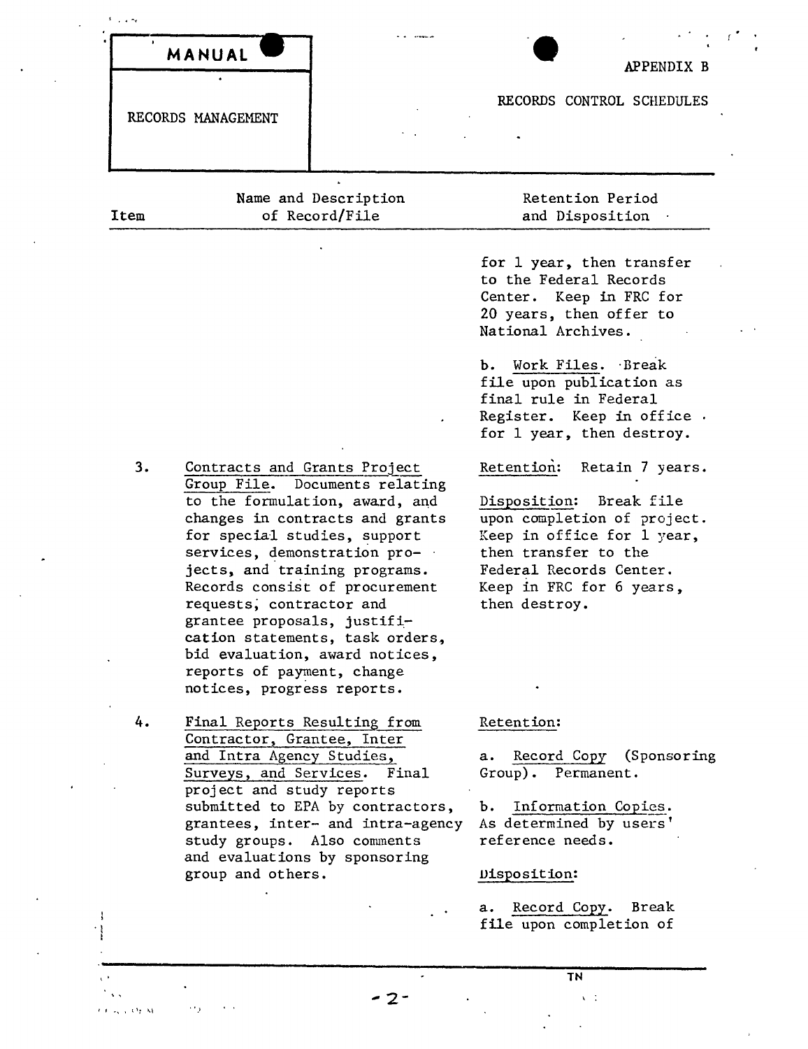|      | MANUAL                                                                                                                                                                                                                                               |                                                                                                                                                                                                            | APPENDIX B                                                                                                                                                                                                                                                             |
|------|------------------------------------------------------------------------------------------------------------------------------------------------------------------------------------------------------------------------------------------------------|------------------------------------------------------------------------------------------------------------------------------------------------------------------------------------------------------------|------------------------------------------------------------------------------------------------------------------------------------------------------------------------------------------------------------------------------------------------------------------------|
|      | RECORDS MANAGEMENT                                                                                                                                                                                                                                   |                                                                                                                                                                                                            | RECORDS CONTROL SCHEDULES                                                                                                                                                                                                                                              |
| Item |                                                                                                                                                                                                                                                      | Name and Description<br>of Record/File                                                                                                                                                                     | Retention Period<br>and Disposition                                                                                                                                                                                                                                    |
|      |                                                                                                                                                                                                                                                      |                                                                                                                                                                                                            | for 1 year, then transfer<br>to the Federal Records<br>Center. Keep in FRC for<br>20 years, then offer to<br>National Archives.<br>b. Work Files. Break<br>file upon publication as<br>final rule in Federal<br>Register. Keep in office.<br>for 1 year, then destroy. |
| 3.   | Contracts and Grants Project<br>for special studies, support<br>services, demonstration pro-<br>jects, and training programs.<br>requests, contractor and<br>grantee proposals, justifi-<br>reports of payment, change<br>notices, progress reports. | Group File. Documents relating<br>to the formulation, award, and<br>changes in contracts and grants<br>Records consist of procurement<br>cation statements, task orders,<br>bid evaluation, award notices, | Retention:<br>Retain 7 years.<br>Disposition:<br>Break file<br>upon completion of project.<br>Keep in office for 1 year,<br>then transfer to the<br>Federal Records Center.<br>Keep in FRC for 6 years,<br>then destroy.                                               |
| 4.   | Final Reports Resulting from<br>Contractor, Grantee, Inter<br>and Intra Agency Studies,<br>Surveys, and Services. Final<br>project and study reports<br>study groups. Also comments<br>and evaluations by sponsoring<br>group and others.            | submitted to EPA by contractors,<br>grantees, inter- and intra-agency                                                                                                                                      | Retention:<br>Record Copy (Sponsoring<br>а. –<br>Group). Permanent.<br>Information Copies.<br>b.<br>As determined by users'<br>reference needs.<br>Disposition:                                                                                                        |

,  $\blacksquare$  TN

 $-2-$ 

 $\ddot{\phantom{a}}$ 

 $\ddot{\phantom{a}}$ 

 $\sim$   $_{\rm p}$ 

 $\bar{\lambda}$  ,  $\bar{\lambda}$ 

.\ i

 $\ell$  )  $\sim$   $\sim$   $\Omega_{\rm{Z}}$  M

a. Record Copy. Break

file upon completion of

 $\Delta \sim 1$ 

 $\ddot{\phantom{a}}$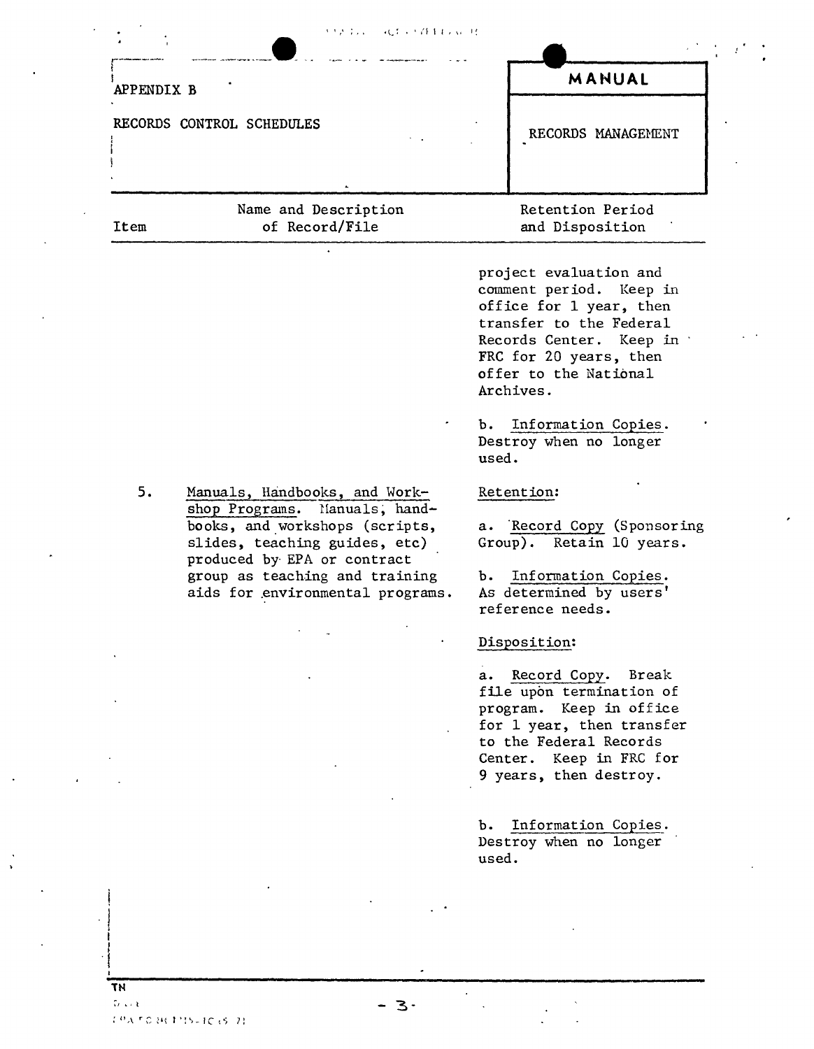| APPENDIX B                                                                                                                                                                                            |             | MANUAL                                                                                                                                                                                                                                                               |
|-------------------------------------------------------------------------------------------------------------------------------------------------------------------------------------------------------|-------------|----------------------------------------------------------------------------------------------------------------------------------------------------------------------------------------------------------------------------------------------------------------------|
| RECORDS CONTROL SCHEDULES                                                                                                                                                                             |             | RECORDS MANAGEMENT                                                                                                                                                                                                                                                   |
| Name and Description<br>of Record/File<br>Item                                                                                                                                                        |             | Retention Period<br>and Disposition                                                                                                                                                                                                                                  |
| 5.<br>Manuals, Handbooks, and Work-                                                                                                                                                                   | used.       | project evaluation and<br>comment period. Keep in<br>office for 1 year, then<br>transfer to the Federal<br>Records Center. Keep in<br>FRC for 20 years, then<br>offer to the National<br>Archives.<br>b. Information Copies.<br>Destroy when no longer<br>Retention: |
| shop Programs. Manuals, hand-<br>books, and workshops (scripts,<br>slides, teaching guides, etc)<br>produced by EPA or contract<br>group as teaching and training<br>aids for environmental programs. |             | a. Record Copy (Sponsoring<br>Group). Retain 10 years.<br>b. Information Copies.<br>As determined by users'<br>reference needs.                                                                                                                                      |
|                                                                                                                                                                                                       | а.          | Disposition:<br>Record Copy.<br>Break<br>file upon termination of<br>program.<br>Keep in office<br>for 1 year, then transfer<br>to the Federal Records<br>Center. Keep in FRC for<br>9 years, then destroy.                                                          |
|                                                                                                                                                                                                       | b.<br>used. | Information Copies.<br>Destroy when no longer                                                                                                                                                                                                                        |

 $\frac{1}{T}$ 

 $\mathbf{r}$ 

 $-3$ .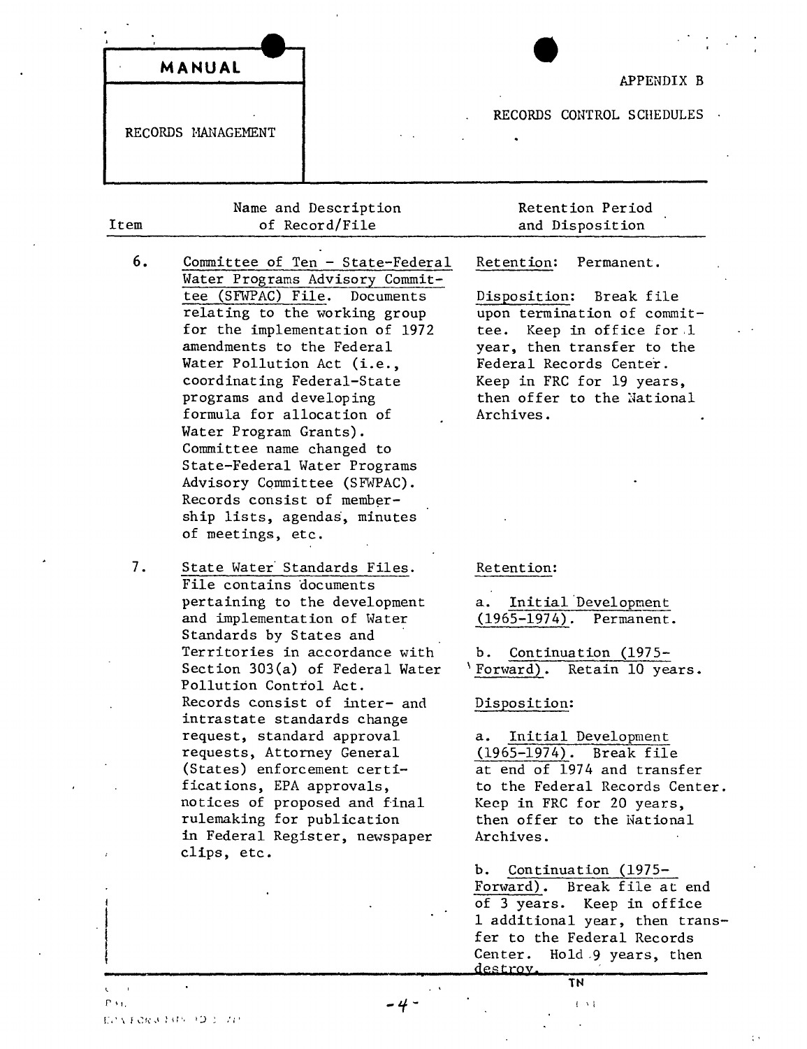| MANUAL<br>RECORDS MANAGEMENT<br>Name and Description<br>of Record/File<br>Item<br>6.<br>Committee of Ten - State-Federal<br>Retention:<br>Water Programs Advisory Commit-<br>tee (SFWPAC) File. Documents<br>relating to the working group<br>for the implementation of 1972<br>amendments to the Federal<br>Water Pollution Act (i.e.,<br>coordinating Federal-State<br>programs and developing<br>formula for allocation of<br>Archives.<br>Water Program Grants).<br>Committee name changed to<br>State-Federal Water Programs<br>Advisory Committee (SFWPAC).<br>Records consist of member-<br>ship lists, agendas, minutes<br>of meetings, etc.<br>7.<br>State Water Standards Files.<br>Retention:<br>File contains documents<br>pertaining to the development<br>а.<br>and implementation of Water<br>$(1965 - 1974)$ .<br>Standards by States and<br>Territories in accordance with<br>Ъ.<br>Section 303(a) of Federal Water<br>Pollution Control Act.<br>Records consist of inter- and<br>Disposition:<br>intrastate standards change<br>request, standard approval<br>а.<br>requests, Attorney General<br>(States) enforcement certi-<br>fications, EPA approvals,<br>notices of proposed and final | APPENDIX B<br>RECORDS CONTROL SCHEDULES<br>Retention Period<br>and Disposition<br>Permanent.<br>Disposition: Break file<br>upon termination of commit-<br>tee. Keep in office for 1<br>year, then transfer to the<br>Federal Records Center.<br>Keep in FRC for 19 years,<br>then offer to the National                                                                                     |
|---------------------------------------------------------------------------------------------------------------------------------------------------------------------------------------------------------------------------------------------------------------------------------------------------------------------------------------------------------------------------------------------------------------------------------------------------------------------------------------------------------------------------------------------------------------------------------------------------------------------------------------------------------------------------------------------------------------------------------------------------------------------------------------------------------------------------------------------------------------------------------------------------------------------------------------------------------------------------------------------------------------------------------------------------------------------------------------------------------------------------------------------------------------------------------------------------------------|---------------------------------------------------------------------------------------------------------------------------------------------------------------------------------------------------------------------------------------------------------------------------------------------------------------------------------------------------------------------------------------------|
|                                                                                                                                                                                                                                                                                                                                                                                                                                                                                                                                                                                                                                                                                                                                                                                                                                                                                                                                                                                                                                                                                                                                                                                                               |                                                                                                                                                                                                                                                                                                                                                                                             |
|                                                                                                                                                                                                                                                                                                                                                                                                                                                                                                                                                                                                                                                                                                                                                                                                                                                                                                                                                                                                                                                                                                                                                                                                               |                                                                                                                                                                                                                                                                                                                                                                                             |
|                                                                                                                                                                                                                                                                                                                                                                                                                                                                                                                                                                                                                                                                                                                                                                                                                                                                                                                                                                                                                                                                                                                                                                                                               |                                                                                                                                                                                                                                                                                                                                                                                             |
|                                                                                                                                                                                                                                                                                                                                                                                                                                                                                                                                                                                                                                                                                                                                                                                                                                                                                                                                                                                                                                                                                                                                                                                                               |                                                                                                                                                                                                                                                                                                                                                                                             |
| rulemaking for publication<br>in Federal Register, newspaper<br>Archives.<br>clips, etc.<br>Ъ.                                                                                                                                                                                                                                                                                                                                                                                                                                                                                                                                                                                                                                                                                                                                                                                                                                                                                                                                                                                                                                                                                                                | Initial Development<br>Permanent.<br>Continuation (1975-<br>'Forward). Retain 10 years.<br>Initial Development<br>(1965-1974). Break file<br>at end of 1974 and transfer<br>to the Federal Records Center.<br>Keep in FRC for 20 years,<br>then offer to the National<br>Continuation (1975-<br>Forward). Break file at end<br>of 3 years. Keep in office<br>1 additional year, then trans- |

 $\overline{1}$ 

 $\lambda$ 

-4-

 $\langle \cdot \rangle$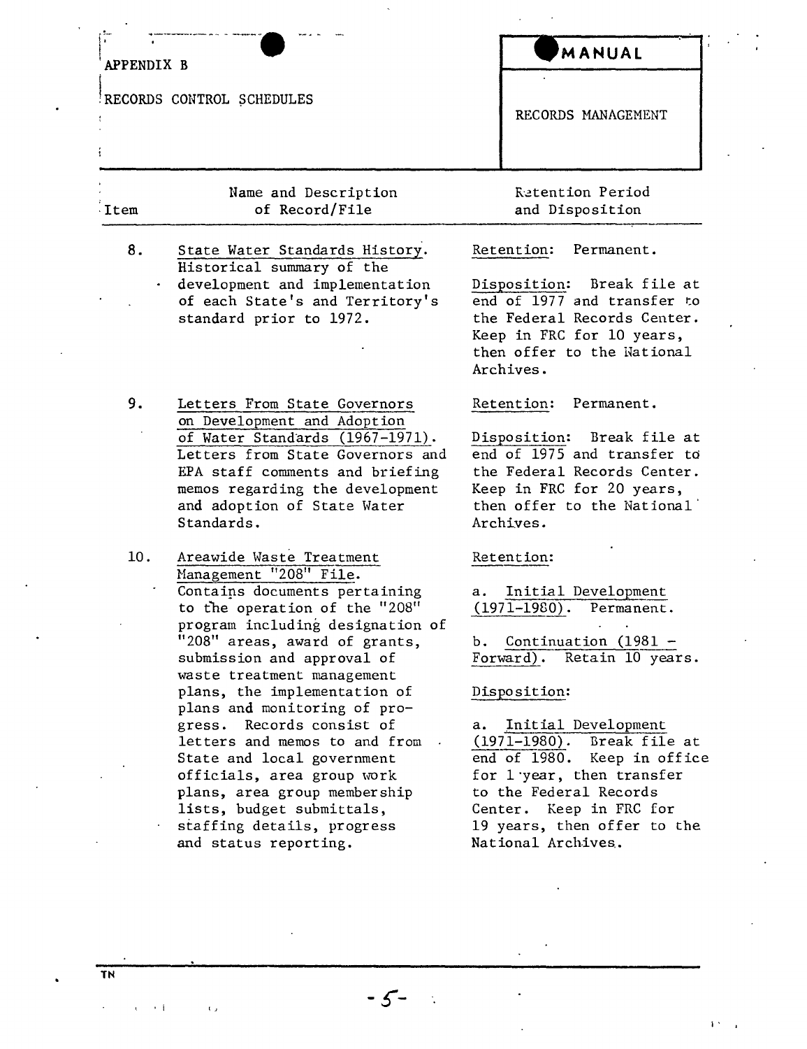| APPENDIX B |                                                                                                                                                                                                                                                       | MANUAL                                                                                                                                                                                       |
|------------|-------------------------------------------------------------------------------------------------------------------------------------------------------------------------------------------------------------------------------------------------------|----------------------------------------------------------------------------------------------------------------------------------------------------------------------------------------------|
|            | RECORDS CONTROL SCHEDULES                                                                                                                                                                                                                             | RECORDS MANAGEMENT                                                                                                                                                                           |
| Item       | Name and Description<br>of Record/File                                                                                                                                                                                                                | <b>Ratention Period</b><br>and Disposition                                                                                                                                                   |
| 8.         | State Water Standards History.<br>Historical summary of the<br>development and implementation<br>of each State's and Territory's<br>standard prior to 1972.                                                                                           | Retention:<br>Permanent.<br>Disposition: Break file at<br>end of 1977 and transfer to<br>the Federal Records Center.<br>Keep in FRC for 10 years,<br>then offer to the National<br>Archives. |
| 9.         | Letters From State Governors<br>on Development and Adoption<br>of Water Standards (1967-1971).<br>Letters from State Governors and<br>EPA staff comments and briefing<br>memos regarding the development<br>and adoption of State Water<br>Standards. | Retention: Permanent.<br>Disposition: Break file at<br>end of 1975 and transfer to<br>the Federal Records Center.<br>Keep in FRC for 20 years,<br>then offer to the National<br>Archives.    |
| 10.        | Areawide Waste Treatment                                                                                                                                                                                                                              | Retention:                                                                                                                                                                                   |

Nanagement "208" File. Contains documents pertaining to the operation of the "208" program including designation of "208" areas, award of grants, submission and approval of waste treatment management plans, the implementation of plans and monitoring of progress. Records consist of letters and memos to and from State and local government officials, area group work plans, area group membership lists, budget submittals, staffing details, progress and status reporting.

a. Initial Development (197l-l9GO). Permanent.

b. Continuation (1981 - Forward). Retain 10 years.

Disposition:

a. Initial Development (1971-1980). Break file at end of 1980. Keep in office for 1 'year, then transfer to the Federal Records Center. Keep in FRC for 19 years, then offer to the National Archives ..

 $\mathbf{P}^{\perp}$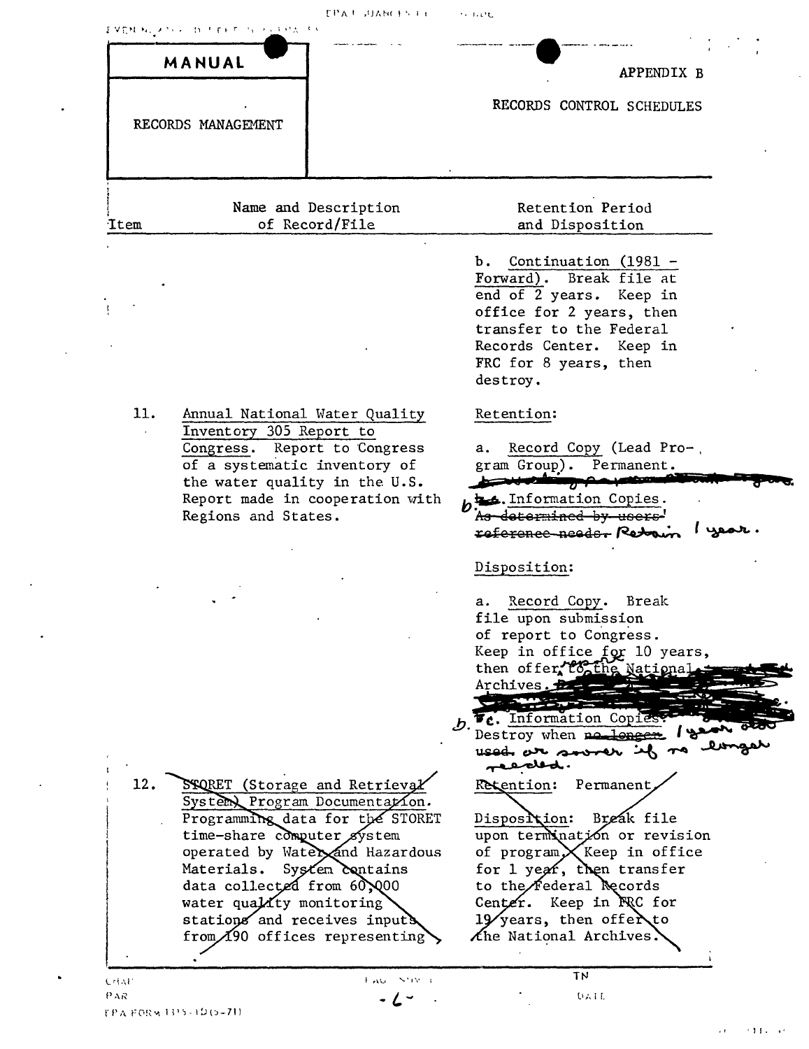| ያ VርN ኤርአማ የምርክ ላይ የማግኘት የ <u>መ</u> ንጻና ችና                                                                                                                                                                                                        | <b>EPAT JUANCESTE</b> | <b>FRIDAY</b>                                                                                                                                                                                                                                                                                   |
|---------------------------------------------------------------------------------------------------------------------------------------------------------------------------------------------------------------------------------------------------|-----------------------|-------------------------------------------------------------------------------------------------------------------------------------------------------------------------------------------------------------------------------------------------------------------------------------------------|
| MANUAL                                                                                                                                                                                                                                            |                       | APPENDIX B                                                                                                                                                                                                                                                                                      |
| RECORDS MANAGEMENT                                                                                                                                                                                                                                |                       | RECORDS CONTROL SCHEDULES                                                                                                                                                                                                                                                                       |
| Name and Description<br>of Record/File<br>Item                                                                                                                                                                                                    |                       | Retention Period<br>and Disposition                                                                                                                                                                                                                                                             |
|                                                                                                                                                                                                                                                   |                       | Continuation (1981 -<br>Ъ.<br>Forward). Break file at<br>end of 2 years. Keep in<br>office for 2 years, then<br>transfer to the Federal<br>Records Center. Keep in<br>FRC for 8 years, then<br>destroy.                                                                                         |
| 11.<br>Annual National Water Quality<br>Inventory 305 Report to<br>Congress. Report to Congress<br>of a systematic inventory of<br>the water quality in the U.S.<br>Report made in cooperation with<br>Regions and States.                        |                       | Retention:<br>Record Copy (Lead Pro-<br>а.<br>gram Group). Permanent.<br><b>Service Manager Construction</b><br>ht. Information Copies.<br>A <del>s determined by users'</del><br><del>reference needs.</del> Retour                                                                            |
|                                                                                                                                                                                                                                                   |                       | Disposition:<br>Record Copy.<br>Break<br>а.<br>file upon submission<br>of report to Congress.<br>Keep in office for 10 years,<br>then offer to the National<br>Archives <b>B</b>                                                                                                                |
| 12.<br>STORET (Storage and Retrieval<br>System Program Documentation.<br>Programming data for the STORET<br>time-share computer system<br>operated by Water and Hazardous<br>Materials.<br>data collected from 60,000<br>water quality monitoring | System contains       | <b>Fc.</b> Information Copi<br>Destroy when no longer<br>used ar sover it<br>reevelod.<br>Retention: Permanent<br>Disposicion:<br>Break file<br>upon termination or revision<br>of program $X$ Keep in office<br>for 1 year, then transfer<br>to the Federal Records<br>Center. Keep in FRC for |
| stations and receives inputs<br>from $\chi$ 90 offices representing<br><b>CHAP</b><br>P AR.                                                                                                                                                       | FAG STR 1             | 19 years, then offer to<br>$\chi$ he National Archives.<br>TN<br>DATE                                                                                                                                                                                                                           |

 $\ddot{\phantom{1}}$ 

 $\mathcal{A}$ 

 $\cdot$ 

 $\ddot{\phantom{0}}$ 

 $\ddot{\phantom{a}}$ 

 $\ddot{\phantom{1}}$ 

 $\hat{\mathcal{A}}$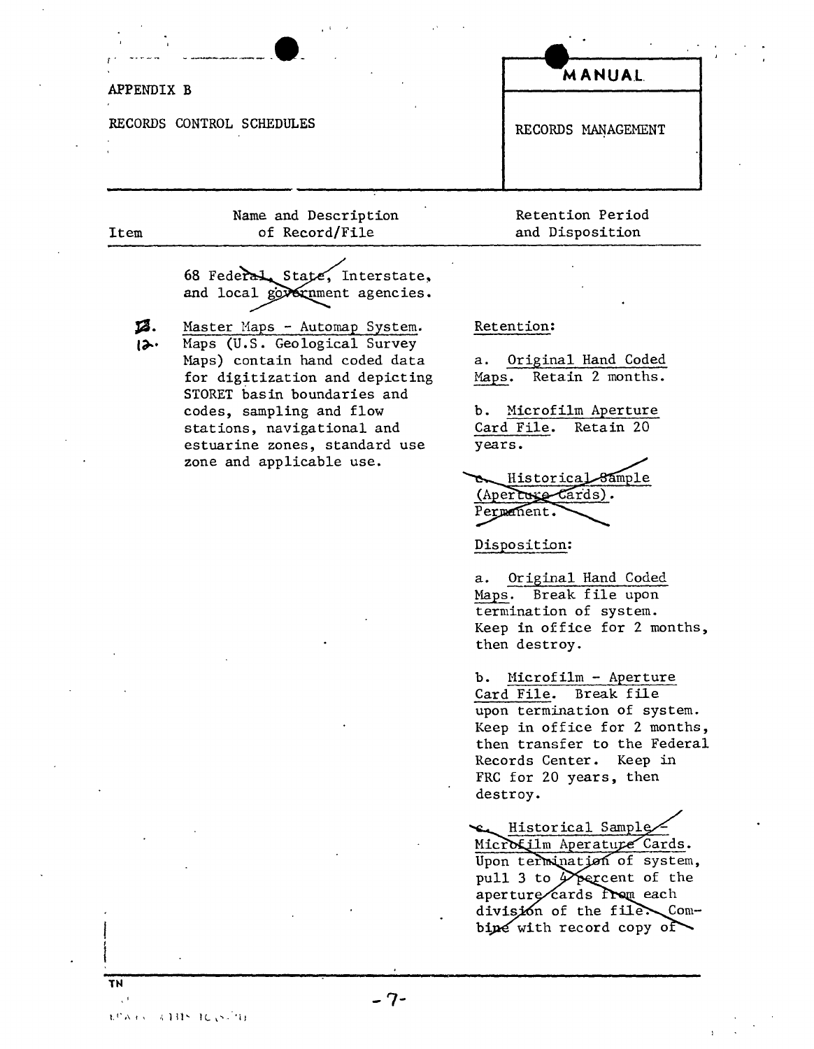| APPENDIX B                | MANUAL             |  |  |
|---------------------------|--------------------|--|--|
| RECORDS CONTROL SCHEDULES | RECORDS MANAGEMENT |  |  |
| Name and Description      | Retention Period   |  |  |

of Record/File

68 Federal State, Interstate, and local government agencies.

**Item** 

Master Maps - Automap System. В.  $12.$ Maps (U.S. Geological Survey Maps) contain hand coded data for digitization and depicting STORET basin boundaries and codes, sampling and flow stations, navigational and estuarine zones, standard use zone and applicable use.

#### Retention:

a. Original Hand Coded Retain 2 months. Maps.

and Disposition

b. Microfilm Aperture Card File. Retain 20 years.

Historical Sample (Aperture Cards). Permanent.

Disposition:

a. Original Hand Coded Maps. Break file upon termination of system. Keep in office for 2 months, then destroy.

b. Microfilm - Aperture Card File. Break file upon termination of system. Keep in office for 2 months, then transfer to the Federal Records Center. Keep in FRC for 20 years, then destroy.

Historical Sample Microfilm Aperature Cards. Upon termination of system, pull 3 to Percent of the aperture cards from each division of the file. Combine with record copy of

**EPAIN AIBS IC (SPI)** 

**TN** 

 $-7-$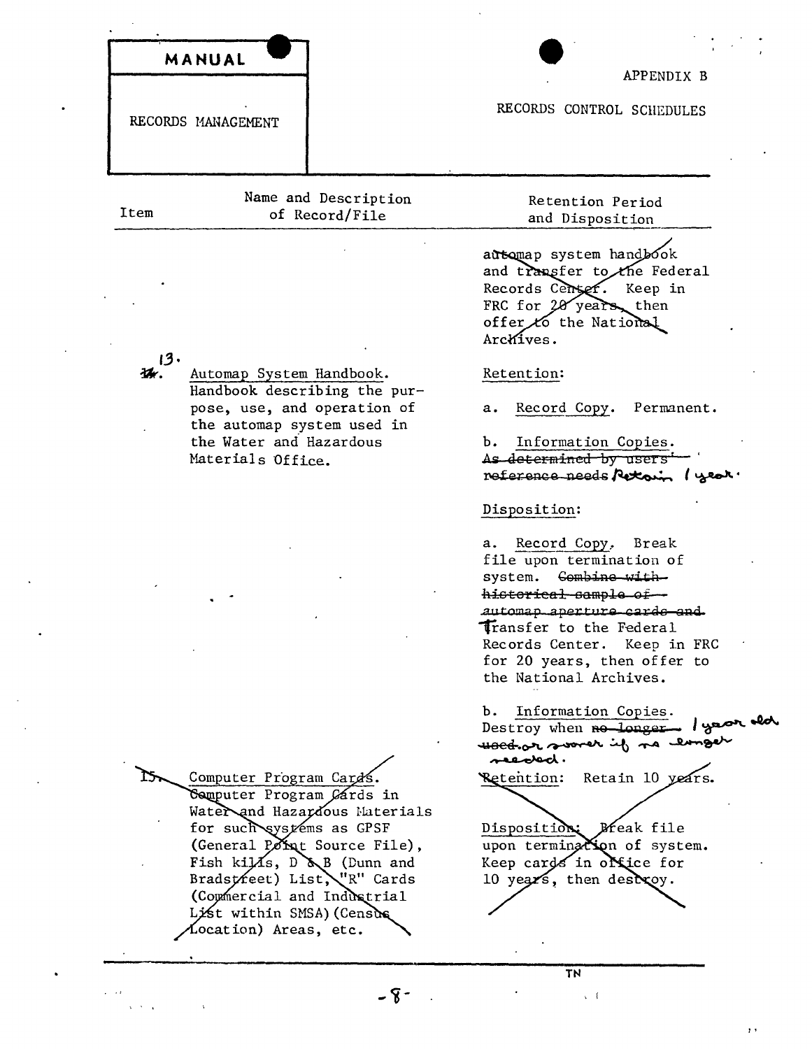|  | <b>MANIIAI</b> |  |  |
|--|----------------|--|--|

RECORDS MANAGEMENT

# APPENDIX B

 $\cdot$ 

 $\bar{r}$  ,

RECORDS CONTROL SCHEDULES

 $\ddot{\phantom{a}}$ 

| Item | Name and Description<br>of Record/File                                                                                                                                                                                                                                                                 | Retention Period<br>and Disposition                                                                                                                                                                                                                       |
|------|--------------------------------------------------------------------------------------------------------------------------------------------------------------------------------------------------------------------------------------------------------------------------------------------------------|-----------------------------------------------------------------------------------------------------------------------------------------------------------------------------------------------------------------------------------------------------------|
|      |                                                                                                                                                                                                                                                                                                        | automap system handbook<br>and transfer to the Federal<br>Records Center. Keep in<br>FRC for $20$ years, then<br>offer $t$ the National<br>Archives.                                                                                                      |
| 孫    | Automap System Handbook.<br>Handbook describing the pur-                                                                                                                                                                                                                                               | Retention:                                                                                                                                                                                                                                                |
|      | pose, use, and operation of<br>the automap system used in                                                                                                                                                                                                                                              | Record Copy. Permanent.<br>а.                                                                                                                                                                                                                             |
|      | the Water and Hazardous<br>Materials Office.                                                                                                                                                                                                                                                           | Information Copies.<br>b.<br>As determined by users'<br>reference needs Retain (year.                                                                                                                                                                     |
|      |                                                                                                                                                                                                                                                                                                        | Disposition:                                                                                                                                                                                                                                              |
|      |                                                                                                                                                                                                                                                                                                        | a. Record Copy,<br>Break<br>file upon termination of<br>Combine with-<br>system.<br>historical sample of<br>automap aperture carde and<br>Transfer to the Federal<br>Records Center. Keep in FRC<br>for 20 years, then offer to<br>the National Archives. |
|      |                                                                                                                                                                                                                                                                                                        | b.<br>Information Copies.<br>Destroy when no longer I year ald<br>sedad.                                                                                                                                                                                  |
|      | Computer Program Cards.<br>Computer Program Gards in<br>Water and Hazardous Materials<br>for such systems as GPSF<br>(General Point Source File),<br>Fish kills, $D \& B$ (Dunn and<br>Bradstreet) List, "R" Cards<br>(Commercial and Industrial<br>List within SMSA) (Census<br>Location) Areas, etc. | Retention: Retain 10 years.<br>Disposition: Break file<br>upon termination of system.<br>Keep cards in orice for<br>10 years, then desix $oy.$                                                                                                            |
|      |                                                                                                                                                                                                                                                                                                        | <b>TN</b>                                                                                                                                                                                                                                                 |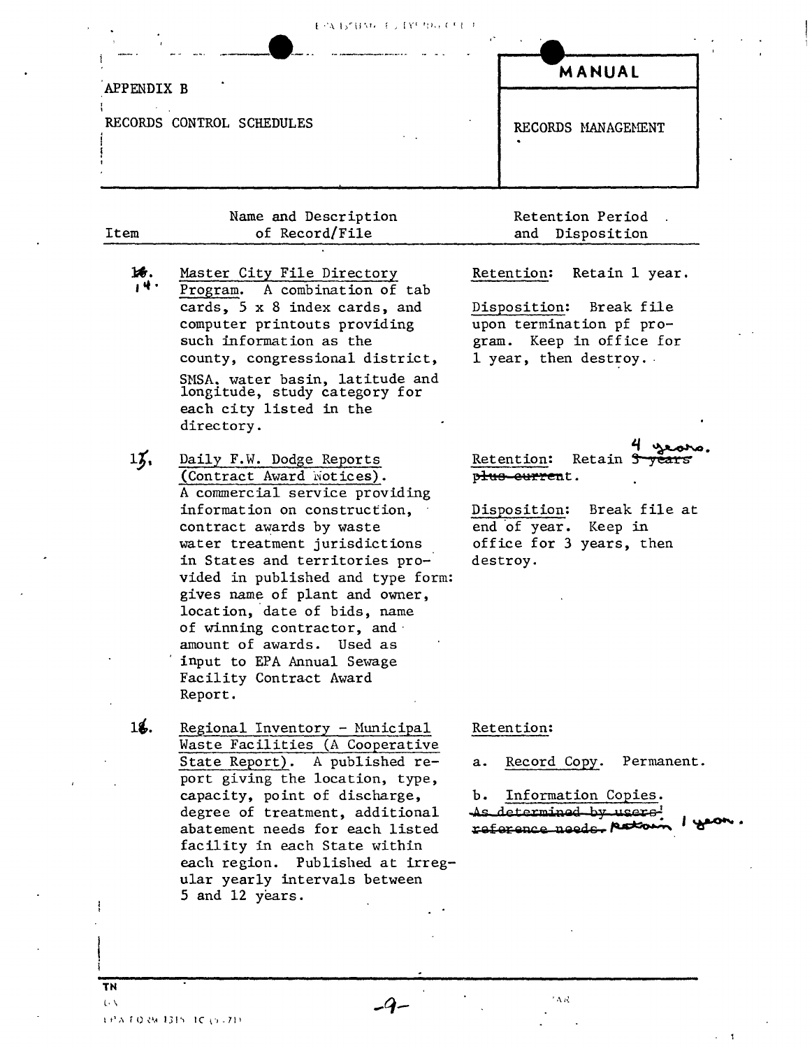| APPENDIX B                |                                                                                                                                                                                                                                                                                                                                                                                                                                                              | MANUAL                                                                                                                                                                 |
|---------------------------|--------------------------------------------------------------------------------------------------------------------------------------------------------------------------------------------------------------------------------------------------------------------------------------------------------------------------------------------------------------------------------------------------------------------------------------------------------------|------------------------------------------------------------------------------------------------------------------------------------------------------------------------|
| RECORDS CONTROL SCHEDULES |                                                                                                                                                                                                                                                                                                                                                                                                                                                              | RECORDS MANAGEMENT                                                                                                                                                     |
| Item                      | Name and Description<br>of Record/File                                                                                                                                                                                                                                                                                                                                                                                                                       | Retention Period<br>Disposition<br>and                                                                                                                                 |
| 泲.<br>,4.                 | Master City File Directory<br>Program. A combination of tab<br>cards, 5 x 8 index cards, and<br>computer printouts providing<br>such information as the<br>county, congressional district,<br>SMSA, water basin, latitude and<br>longitude, study category for<br>each city listed in the<br>directory.                                                                                                                                                      | Retention:<br>Retain 1 year.<br>Disposition: Break file<br>upon termination pf pro-<br>gram. Keep in office for<br>1 year, then destroy.                               |
| 13.                       | Daily F.W. Dodge Reports<br>(Contract Award Notices).<br>A commercial service providing<br>information on construction,<br>contract awards by waste<br>water treatment jurisdictions<br>in States and territories pro-<br>vided in published and type form:<br>gives name of plant and owner,<br>location, date of bids, name<br>of winning contractor, and<br>amount of awards. Used as<br>input to EPA Annual Sewage<br>Facility Contract Award<br>Report. | Retention:<br>Retain <del>3 years</del><br>p <del>lus eurren</del> t.<br>Break file at<br>Disposition:<br>end of year. Keep in<br>office for 3 years, then<br>destroy. |
| 16.                       | Regional Inventory - Municipal<br>Waste Facilities (A Cooperative<br>State Report). A published re-<br>port giving the location, type,<br>capacity, point of discharge,<br>degree of treatment, additional<br>abatement needs for each listed<br>facility in each State within<br>each region. Published at irreg-<br>ular yearly intervals between<br>5 and 12 years.                                                                                       | Retention:<br>Record Copy.<br>Permanent.<br>a.<br>Information Copies.<br>b. .<br>As determined by usere'<br>reference needs. Retoin                                    |

 $-9-$ 

 $\begin{array}{c} \begin{array}{c} \begin{array}{c} \begin{array}{c} \end{array}\\ \end{array} \end{array} \end{array}$ 

 $\epsilon=1$ 

 $(13^{9} \text{A} \text{ T} \text{Q} \text{ QW} \text{ J} \text{J} \text{J} \text{S} \text{ T} \text{C} \text{ (3-71)}$ 

 $\sim$  0 V

 $\langle \cdot \rangle$ 

 $\hat{\boldsymbol{\cdot} }$ 

 $\sim 40$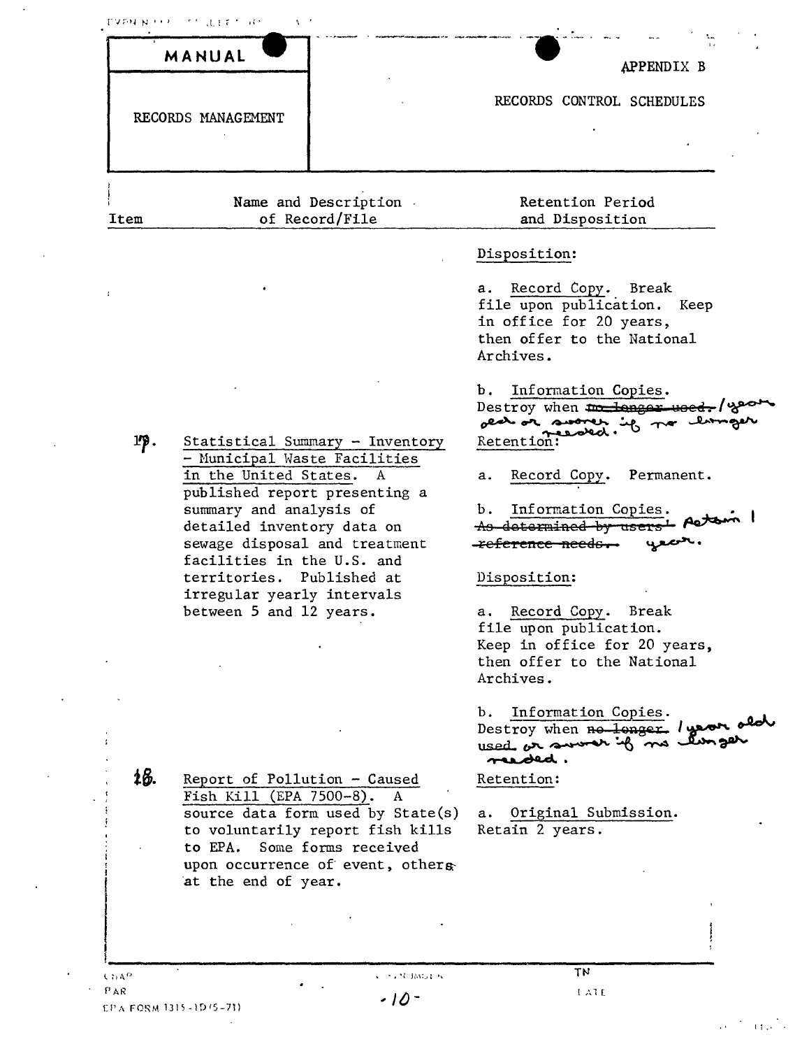|              | MANUAL                                                                                                                                                                                                           | APPENDIX B                                                                                                                                      |  |  |
|--------------|------------------------------------------------------------------------------------------------------------------------------------------------------------------------------------------------------------------|-------------------------------------------------------------------------------------------------------------------------------------------------|--|--|
|              | RECORDS MANAGEMENT                                                                                                                                                                                               | RECORDS CONTROL SCHEDULES                                                                                                                       |  |  |
| Item         | Name and Description<br>of Record/File                                                                                                                                                                           | Retention Period<br>and Disposition                                                                                                             |  |  |
|              |                                                                                                                                                                                                                  | Disposition:                                                                                                                                    |  |  |
|              |                                                                                                                                                                                                                  | a. Record Copy. Break<br>file upon publication. Keep<br>in office for 20 years,<br>then offer to the National<br>Archives.                      |  |  |
| 1 <b>p</b> . | Statistical Summary - Inventory                                                                                                                                                                                  | Information Copies.<br>b.<br>Destroy when moder wood<br>old or swores in no les<br>Retention                                                    |  |  |
|              | - Municipal Waste Facilities<br>in the United States. A<br>published report presenting a<br>summary and analysis of<br>detailed inventory data on<br>sewage disposal and treatment<br>facilities in the U.S. and | Record Copy.<br>Permanent.<br>a.<br>Information Copies.<br>$b$ .<br>As determined by users'<br><del>reference needs.</del>                      |  |  |
|              | territories. Published at<br>irregular yearly intervals<br>between 5 and 12 years.                                                                                                                               | Disposition:<br>Record Copy. Break<br>а. –<br>file upon publication.<br>Keep in office for 20 years,<br>then offer to the National<br>Archives. |  |  |
|              |                                                                                                                                                                                                                  | Information Copies.<br>b.<br>Destroy when no longer / year ald<br>reeded.                                                                       |  |  |
| 18.          | Report of Pollution - Caused<br>Fish Kill (EPA 7500-8).<br>A<br>source data form used by State(s)                                                                                                                | Retention:<br>a. Original Submission.                                                                                                           |  |  |
|              | to voluntarily report fish kills<br>to EPA. Some forms received<br>upon occurrence of event, others<br>at the end of year.                                                                                       | Retain 2 years.                                                                                                                                 |  |  |
|              |                                                                                                                                                                                                                  |                                                                                                                                                 |  |  |
|              |                                                                                                                                                                                                                  | TN                                                                                                                                              |  |  |

EPA FORM 1315-1D (5-71)

 $\mathcal{L}^{\text{max}}_{\text{max}}$ 

 $\sim$ 

 $\sim 10^{-10}$ 

 $\mathcal{L}^{\text{max}}$ 

 $\alpha\in\mathbb{C}^2$  and  $\alpha\in\mathbb{C}$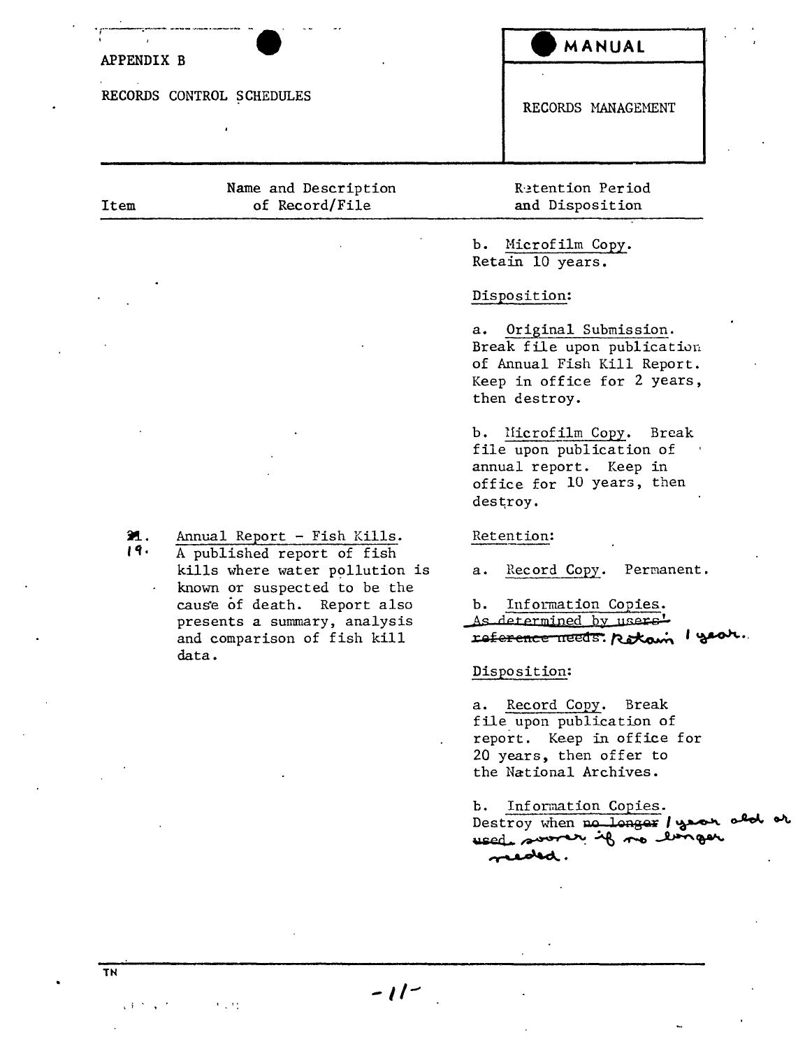## APPENDIX B

RECORDS CONTROL SCHEDULES

 $\bar{\pmb{\epsilon}}$ 

MANUAL

RECORDS MANAGEMENT

| Item       | Name and Description<br>of Record/File                                                                                                                       | Retention Period<br>and Disposition                                                                                                     |
|------------|--------------------------------------------------------------------------------------------------------------------------------------------------------------|-----------------------------------------------------------------------------------------------------------------------------------------|
|            |                                                                                                                                                              | Microfilm Copy.<br>b.<br>Retain 10 years.                                                                                               |
|            |                                                                                                                                                              | Disposition:                                                                                                                            |
|            |                                                                                                                                                              | a. Original Submission.<br>Break file upon publication<br>of Annual Fish Kill Report.<br>Keep in office for 2 years,<br>then destroy.   |
|            |                                                                                                                                                              | b. Microfilm Copy. Break<br>file upon publication of<br>annual report. Keep in<br>office for 10 years, then<br>destroy.                 |
| 21.<br>19. | Annual Report - Fish Kills.<br>A published report of fish                                                                                                    | Retention:                                                                                                                              |
|            | kills where water pollution is<br>known or suspected to be the<br>cause of death. Report also<br>presents a summary, analysis<br>and comparison of fish kill | Record Copy. Permanent.<br>а.<br>Information Copies.<br>Ъ.<br>As determined by users'<br>I gear.<br>reference needs. Retain             |
|            | data.                                                                                                                                                        | Disposition:                                                                                                                            |
|            |                                                                                                                                                              | Record Copy. Break<br>а.<br>file upon publication of<br>report. Keep in office for<br>20 years, then offer to<br>the National Archives. |
|            |                                                                                                                                                              | Information Copies.<br>ь.<br>Destroy when no longer I goon and or<br>used soorer if no limper<br>meded.                                 |

 $-11-$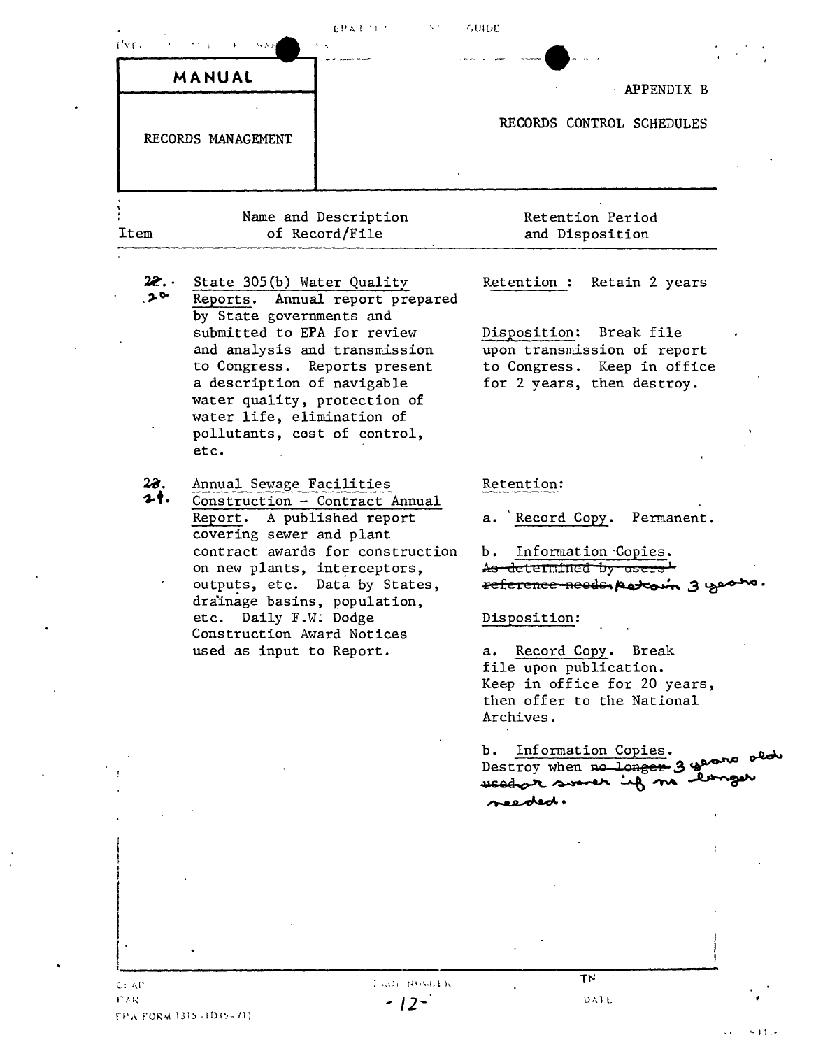| MANUAL<br>RECORDS MANAGEMENT |                                                                                                                                                                                                                                                                                                                               |                                        | <b>APPENDIX B</b><br>RECORDS CONTROL SCHEDULES                                                                                                                                                                                                                                   |  |  |
|------------------------------|-------------------------------------------------------------------------------------------------------------------------------------------------------------------------------------------------------------------------------------------------------------------------------------------------------------------------------|----------------------------------------|----------------------------------------------------------------------------------------------------------------------------------------------------------------------------------------------------------------------------------------------------------------------------------|--|--|
| Item                         |                                                                                                                                                                                                                                                                                                                               | Name and Description<br>of Record/File | Retention Period<br>and Disposition                                                                                                                                                                                                                                              |  |  |
| 22.<br>$2^{\circ}$           | State 305(b) Water Quality<br>Reports. Annual report prepared<br>by State governments and<br>submitted to EPA for review<br>and analysis and transmission<br>to Congress. Reports present<br>a description of navigable<br>water quality, protection of<br>water life, elimination of<br>pollutants, cost of control,<br>etc. |                                        | Retention :<br>Retain 2 years<br>Disposition: Break file<br>upon transmission of report<br>to Congress. Keep in office<br>for 2 years, then destroy.                                                                                                                             |  |  |
| $2\hat{\sigma}$ .<br>21.     | Annual Sewage Facilities<br>Construction - Contract Annual<br>Report. A published report<br>covering sewer and plant<br>on new plants, interceptors.<br>outputs, etc. Data by States,<br>drainage basins, population,<br>etc. Daily F.W. Dodge<br>Construction Award Notices<br>used as input to Report.                      | contract awards for construction       | Retention:<br>a. Record Copy. Permanent.<br>b. Information Copies.<br>As determined by users<br>reference needs patoin 3 years.<br>Disposition:<br>a. Record Copy.<br>Break<br>file upon publication.<br>Keep in office for 20 years,<br>then offer to the National<br>Archives. |  |  |

b. Information Copies.<br>Destroy when no longer 3 w ملحمه  $\bullet$ used or somer inf no the പ്പുക needed.

 $\ddot{\phantom{0}}$ 

 $\bar{\epsilon}$  .

 $\mathbf{r}$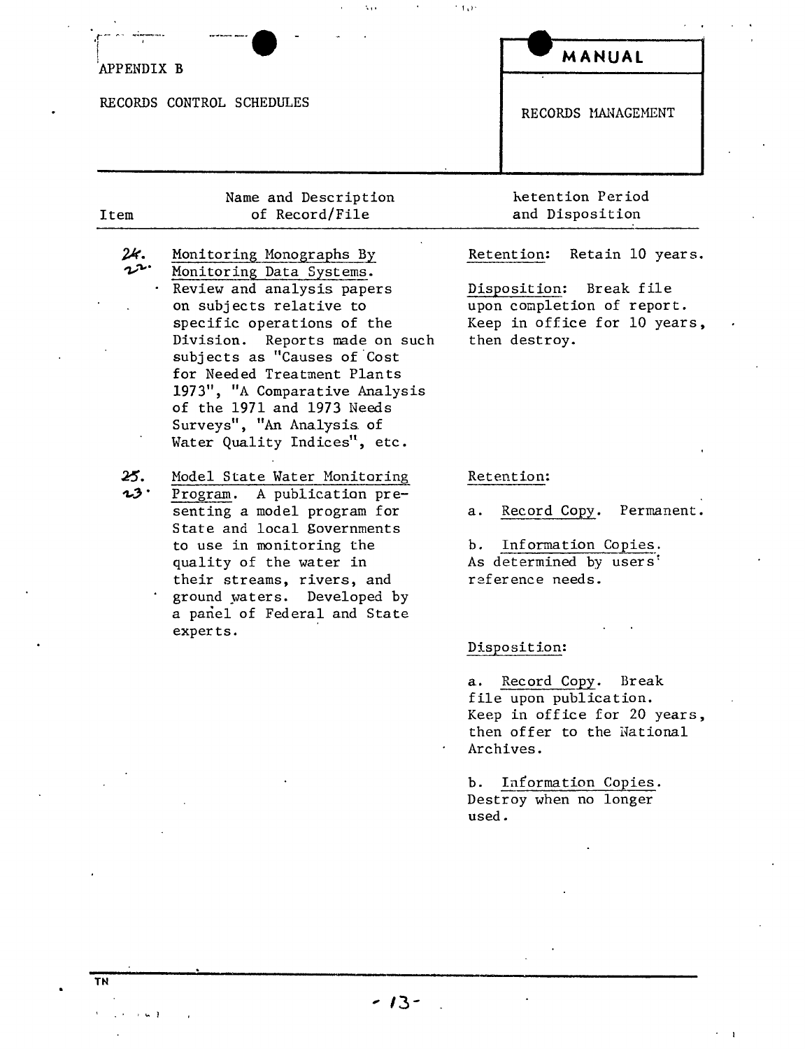| APPENDIX B                |                                                                                                                                                                                                                                                                                                                                                                          | MANUAL                                                                                                                                                                                                                                                                         |
|---------------------------|--------------------------------------------------------------------------------------------------------------------------------------------------------------------------------------------------------------------------------------------------------------------------------------------------------------------------------------------------------------------------|--------------------------------------------------------------------------------------------------------------------------------------------------------------------------------------------------------------------------------------------------------------------------------|
| RECORDS CONTROL SCHEDULES |                                                                                                                                                                                                                                                                                                                                                                          | RECORDS MANAGEMENT                                                                                                                                                                                                                                                             |
| Item                      | Name and Description<br>of Record/File                                                                                                                                                                                                                                                                                                                                   | ketention Period<br>and Disposition                                                                                                                                                                                                                                            |
| 24.                       | Monitoring Monographs By<br>Monitoring Data Systems.<br>Review and analysis papers<br>on subjects relative to<br>specific operations of the<br>Division. Reports made on such<br>subjects as "Causes of Cost<br>for Needed Treatment Plants<br>1973", "A Comparative Analysis<br>of the 1971 and 1973 Needs<br>Surveys", "An Analysis of<br>Water Quality Indices", etc. | Retain 10 years.<br>Retention:<br>Disposition: Break file<br>upon completion of report.<br>Keep in office for 10 years,<br>then destroy.                                                                                                                                       |
| 25.<br>13.                | Model State Water Monitoring<br>Program. A publication pre-<br>senting a model program for<br>State and local Sovernments<br>to use in monitoring the<br>quality of the water in<br>their streams, rivers, and<br>ground waters. Developed by<br>a panel of Federal and State<br>experts.                                                                                | Retention:<br>Record Copy.<br>Permanent.<br>а.<br>Information Copies.<br>b.<br>As determined by users'<br>reference needs.<br>Disposition:<br>Record Copy.<br>Break<br>а.<br>file upon publication.<br>Keep in office for 20 years,<br>then offer to the National<br>Archives. |

 $\hat{\mathbf{r}}$  $\sim 5\, \mu m$ 

 $\ddot{\phantom{a}}$ 

 $\alpha$ 

 $\gamma$  to<br>  $\gamma$ 

Destroy when no longer used.

 $\ddot{\phantom{a}}$ 

 $\mathbf{I}$ 

 $\overline{T}N$ 

í.  $\ddot{\phantom{a}}$   $\sim 600$   $\mu$ 

 $\mathbf{r}$